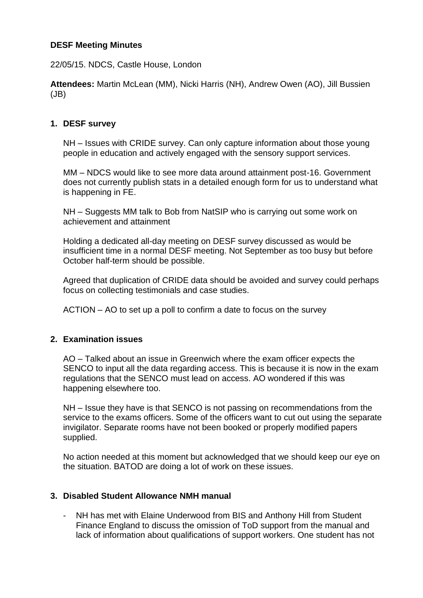## **DESF Meeting Minutes**

22/05/15. NDCS, Castle House, London

**Attendees:** Martin McLean (MM), Nicki Harris (NH), Andrew Owen (AO), Jill Bussien (JB)

## **1. DESF survey**

NH – Issues with CRIDE survey. Can only capture information about those young people in education and actively engaged with the sensory support services.

MM – NDCS would like to see more data around attainment post-16. Government does not currently publish stats in a detailed enough form for us to understand what is happening in FE.

NH – Suggests MM talk to Bob from NatSIP who is carrying out some work on achievement and attainment

Holding a dedicated all-day meeting on DESF survey discussed as would be insufficient time in a normal DESF meeting. Not September as too busy but before October half-term should be possible.

Agreed that duplication of CRIDE data should be avoided and survey could perhaps focus on collecting testimonials and case studies.

ACTION – AO to set up a poll to confirm a date to focus on the survey

### **2. Examination issues**

AO – Talked about an issue in Greenwich where the exam officer expects the SENCO to input all the data regarding access. This is because it is now in the exam regulations that the SENCO must lead on access. AO wondered if this was happening elsewhere too.

NH – Issue they have is that SENCO is not passing on recommendations from the service to the exams officers. Some of the officers want to cut out using the separate invigilator. Separate rooms have not been booked or properly modified papers supplied.

No action needed at this moment but acknowledged that we should keep our eye on the situation. BATOD are doing a lot of work on these issues.

### **3. Disabled Student Allowance NMH manual**

- NH has met with Elaine Underwood from BIS and Anthony Hill from Student Finance England to discuss the omission of ToD support from the manual and lack of information about qualifications of support workers. One student has not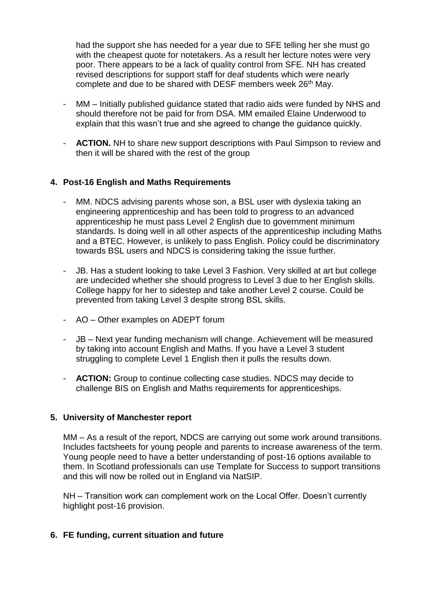had the support she has needed for a year due to SFE telling her she must go with the cheapest quote for notetakers. As a result her lecture notes were very poor. There appears to be a lack of quality control from SFE. NH has created revised descriptions for support staff for deaf students which were nearly complete and due to be shared with DESF members week 26<sup>th</sup> May.

- MM Initially published guidance stated that radio aids were funded by NHS and should therefore not be paid for from DSA. MM emailed Elaine Underwood to explain that this wasn't true and she agreed to change the guidance quickly.
- **ACTION.** NH to share new support descriptions with Paul Simpson to review and then it will be shared with the rest of the group

# **4. Post-16 English and Maths Requirements**

- MM. NDCS advising parents whose son, a BSL user with dyslexia taking an engineering apprenticeship and has been told to progress to an advanced apprenticeship he must pass Level 2 English due to government minimum standards. Is doing well in all other aspects of the apprenticeship including Maths and a BTEC. However, is unlikely to pass English. Policy could be discriminatory towards BSL users and NDCS is considering taking the issue further.
- JB. Has a student looking to take Level 3 Fashion. Very skilled at art but college are undecided whether she should progress to Level 3 due to her English skills. College happy for her to sidestep and take another Level 2 course. Could be prevented from taking Level 3 despite strong BSL skills.
- AO Other examples on ADEPT forum
- JB Next year funding mechanism will change. Achievement will be measured by taking into account English and Maths. If you have a Level 3 student struggling to complete Level 1 English then it pulls the results down.
- **ACTION:** Group to continue collecting case studies. NDCS may decide to challenge BIS on English and Maths requirements for apprenticeships.

### **5. University of Manchester report**

MM – As a result of the report, NDCS are carrying out some work around transitions. Includes factsheets for young people and parents to increase awareness of the term. Young people need to have a better understanding of post-16 options available to them. In Scotland professionals can use Template for Success to support transitions and this will now be rolled out in England via NatSIP.

NH – Transition work can complement work on the Local Offer. Doesn't currently highlight post-16 provision.

### **6. FE funding, current situation and future**